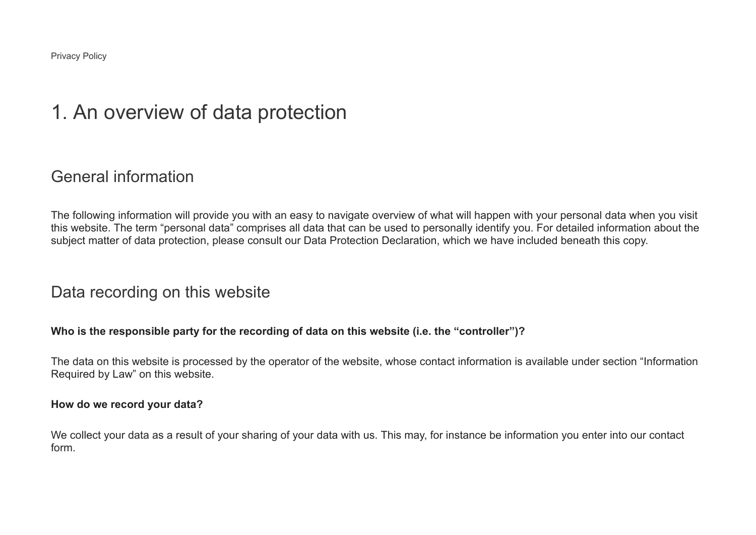Privacy Policy

# 1. An overview of data protection

### General information

The following information will provide you with an easy to navigate overview of what will happen with your personal data when you visit this website. The term "personal data" comprises all data that can be used to personally identify you. For detailed information about the subject matter of data protection, please consult our Data Protection Declaration, which we have included beneath this copy.

#### Data recording on this website

#### **Who is the responsible party for the recording of data on this website (i.e. the "controller")?**

The data on this website is processed by the operator of the website, whose contact information is available under section "Information Required by Law" on this website.

#### **How do we record your data?**

We collect your data as a result of your sharing of your data with us. This may, for instance be information you enter into our contact form.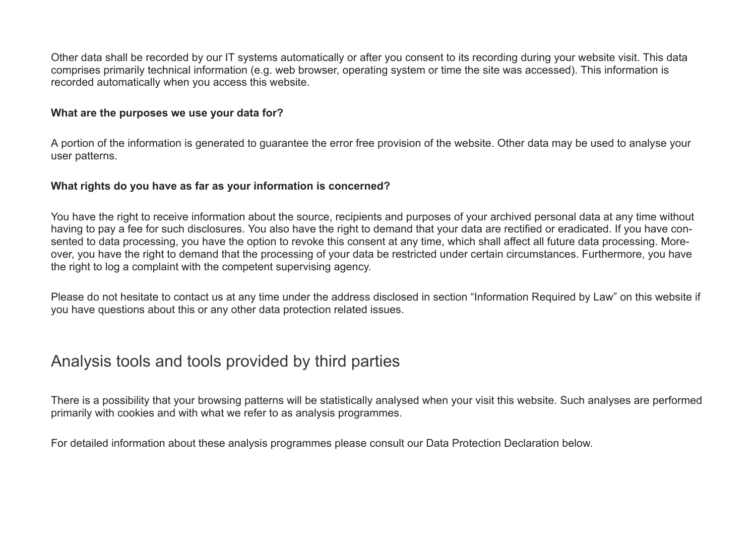Other data shall be recorded by our IT systems automatically or after you consent to its recording during your website visit. This data comprises primarily technical information (e.g. web browser, operating system or time the site was accessed). This information is recorded automatically when you access this website.

#### **What are the purposes we use your data for?**

A portion of the information is generated to guarantee the error free provision of the website. Other data may be used to analyse your user patterns.

#### **What rights do you have as far as your information is concerned?**

You have the right to receive information about the source, recipients and purposes of your archived personal data at any time without having to pay a fee for such disclosures. You also have the right to demand that your data are rectified or eradicated. If you have consented to data processing, you have the option to revoke this consent at any time, which shall affect all future data processing. Moreover, you have the right to demand that the processing of your data be restricted under certain circumstances. Furthermore, you have the right to log a complaint with the competent supervising agency.

Please do not hesitate to contact us at any time under the address disclosed in section "Information Required by Law" on this website if you have questions about this or any other data protection related issues.

## Analysis tools and tools provided by third parties

There is a possibility that your browsing patterns will be statistically analysed when your visit this website. Such analyses are performed primarily with cookies and with what we refer to as analysis programmes.

For detailed information about these analysis programmes please consult our Data Protection Declaration below.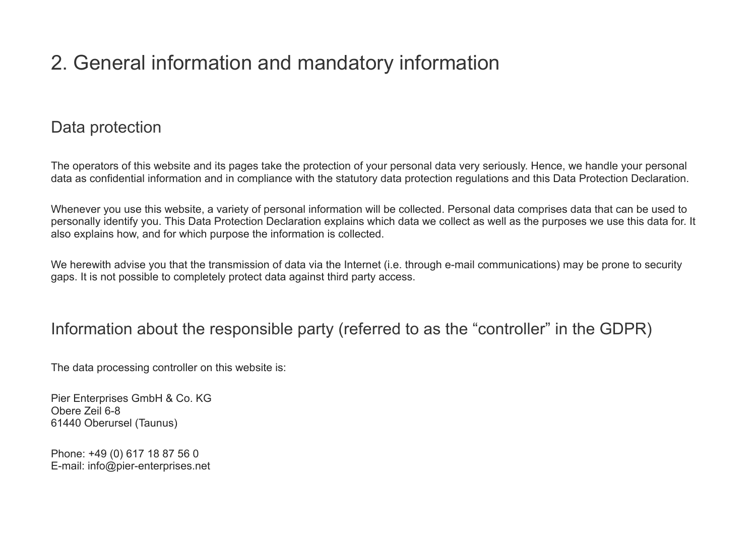# 2. General information and mandatory information

# Data protection

The operators of this website and its pages take the protection of your personal data very seriously. Hence, we handle your personal data as confidential information and in compliance with the statutory data protection regulations and this Data Protection Declaration.

Whenever you use this website, a variety of personal information will be collected. Personal data comprises data that can be used to personally identify you. This Data Protection Declaration explains which data we collect as well as the purposes we use this data for. It also explains how, and for which purpose the information is collected.

We herewith advise you that the transmission of data via the Internet (i.e. through e-mail communications) may be prone to security gaps. It is not possible to completely protect data against third party access.

## Information about the responsible party (referred to as the "controller" in the GDPR)

The data processing controller on this website is:

Pier Enterprises GmbH & Co. KG Obere Zeil 6-8 61440 Oberursel (Taunus)

Phone: +49 (0) 617 18 87 56 0 E-mail: info@pier-enterprises.net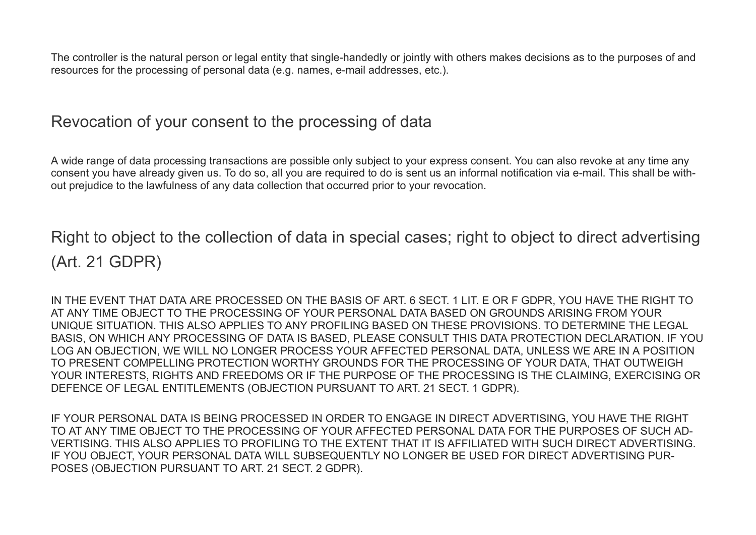The controller is the natural person or legal entity that single-handedly or jointly with others makes decisions as to the purposes of and resources for the processing of personal data (e.g. names, e-mail addresses, etc.).

### Revocation of your consent to the processing of data

A wide range of data processing transactions are possible only subject to your express consent. You can also revoke at any time any consent you have already given us. To do so, all you are required to do is sent us an informal notification via e-mail. This shall be without prejudice to the lawfulness of any data collection that occurred prior to your revocation.

Right to object to the collection of data in special cases; right to object to direct advertising (Art. 21 GDPR)

IN THE EVENT THAT DATA ARE PROCESSED ON THE BASIS OF ART. 6 SECT. 1 LIT. E OR F GDPR, YOU HAVE THE RIGHT TO AT ANY TIME OBJECT TO THE PROCESSING OF YOUR PERSONAL DATA BASED ON GROUNDS ARISING FROM YOUR UNIQUE SITUATION. THIS ALSO APPLIES TO ANY PROFILING BASED ON THESE PROVISIONS. TO DETERMINE THE LEGAL BASIS, ON WHICH ANY PROCESSING OF DATA IS BASED, PLEASE CONSULT THIS DATA PROTECTION DECLARATION. IF YOU LOG AN OBJECTION, WE WILL NO LONGER PROCESS YOUR AFFECTED PERSONAL DATA, UNLESS WE ARE IN A POSITION TO PRESENT COMPELLING PROTECTION WORTHY GROUNDS FOR THE PROCESSING OF YOUR DATA, THAT OUTWEIGH YOUR INTERESTS, RIGHTS AND FREEDOMS OR IF THE PURPOSE OF THE PROCESSING IS THE CLAIMING, EXERCISING OR DEFENCE OF LEGAL ENTITLEMENTS (OBJECTION PURSUANT TO ART. 21 SECT. 1 GDPR).

IF YOUR PERSONAL DATA IS BEING PROCESSED IN ORDER TO ENGAGE IN DIRECT ADVERTISING, YOU HAVE THE RIGHT TO AT ANY TIME OBJECT TO THE PROCESSING OF YOUR AFFECTED PERSONAL DATA FOR THE PURPOSES OF SUCH AD-VERTISING. THIS ALSO APPLIES TO PROFILING TO THE EXTENT THAT IT IS AFFILIATED WITH SUCH DIRECT ADVERTISING. IF YOU OBJECT, YOUR PERSONAL DATA WILL SUBSEQUENTLY NO LONGER BE USED FOR DIRECT ADVERTISING PUR-POSES (OBJECTION PURSUANT TO ART. 21 SECT. 2 GDPR).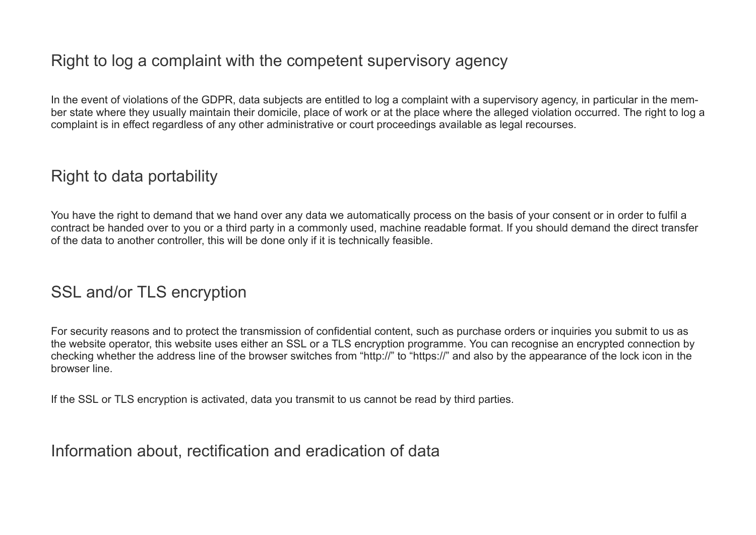# Right to log a complaint with the competent supervisory agency

In the event of violations of the GDPR, data subjects are entitled to log a complaint with a supervisory agency, in particular in the member state where they usually maintain their domicile, place of work or at the place where the alleged violation occurred. The right to log a complaint is in effect regardless of any other administrative or court proceedings available as legal recourses.

# Right to data portability

You have the right to demand that we hand over any data we automatically process on the basis of your consent or in order to fulfil a contract be handed over to you or a third party in a commonly used, machine readable format. If you should demand the direct transfer of the data to another controller, this will be done only if it is technically feasible.

## SSL and/or TLS encryption

For security reasons and to protect the transmission of confidential content, such as purchase orders or inquiries you submit to us as the website operator, this website uses either an SSL or a TLS encryption programme. You can recognise an encrypted connection by checking whether the address line of the browser switches from "http://" to "https://" and also by the appearance of the lock icon in the browser line.

If the SSL or TLS encryption is activated, data you transmit to us cannot be read by third parties.

Information about, rectification and eradication of data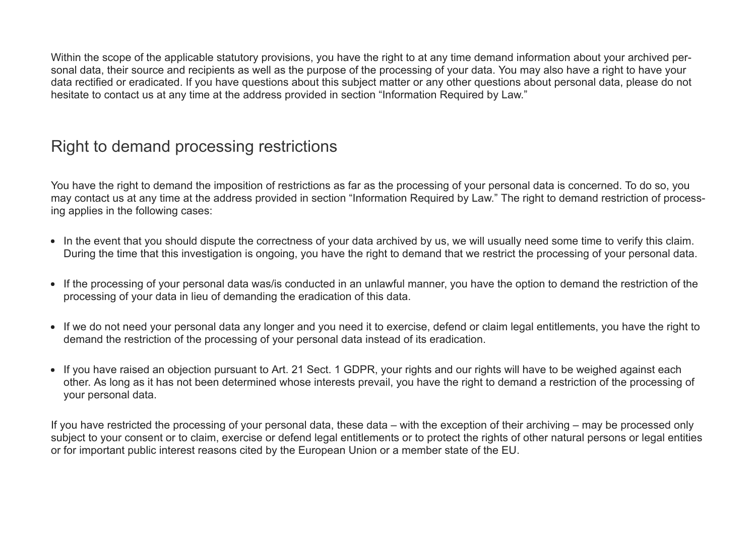Within the scope of the applicable statutory provisions, you have the right to at any time demand information about your archived personal data, their source and recipients as well as the purpose of the processing of your data. You may also have a right to have your data rectified or eradicated. If you have questions about this subject matter or any other questions about personal data, please do not hesitate to contact us at any time at the address provided in section "Information Required by Law."

# Right to demand processing restrictions

You have the right to demand the imposition of restrictions as far as the processing of your personal data is concerned. To do so, you may contact us at any time at the address provided in section "Information Required by Law." The right to demand restriction of processing applies in the following cases:

- In the event that you should dispute the correctness of your data archived by us, we will usually need some time to verify this claim. During the time that this investigation is ongoing, you have the right to demand that we restrict the processing of your personal data.
- If the processing of your personal data was/is conducted in an unlawful manner, you have the option to demand the restriction of the processing of your data in lieu of demanding the eradication of this data.
- If we do not need your personal data any longer and you need it to exercise, defend or claim legal entitlements, you have the right to demand the restriction of the processing of your personal data instead of its eradication.
- If you have raised an objection pursuant to Art. 21 Sect. 1 GDPR, your rights and our rights will have to be weighed against each other. As long as it has not been determined whose interests prevail, you have the right to demand a restriction of the processing of your personal data.

If you have restricted the processing of your personal data, these data – with the exception of their archiving – may be processed only subject to your consent or to claim, exercise or defend legal entitlements or to protect the rights of other natural persons or legal entities or for important public interest reasons cited by the European Union or a member state of the EU.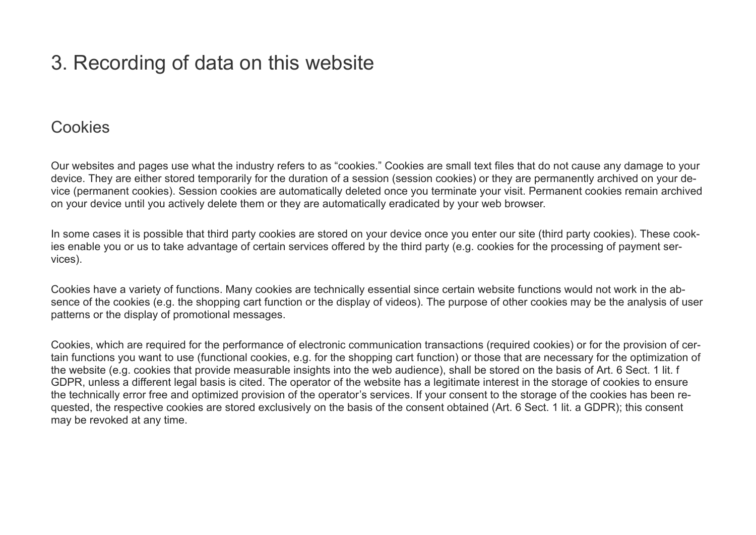# 3. Recording of data on this website

### **Cookies**

Our websites and pages use what the industry refers to as "cookies." Cookies are small text files that do not cause any damage to your device. They are either stored temporarily for the duration of a session (session cookies) or they are permanently archived on your device (permanent cookies). Session cookies are automatically deleted once you terminate your visit. Permanent cookies remain archived on your device until you actively delete them or they are automatically eradicated by your web browser.

In some cases it is possible that third party cookies are stored on your device once you enter our site (third party cookies). These cookies enable you or us to take advantage of certain services offered by the third party (e.g. cookies for the processing of payment services).

Cookies have a variety of functions. Many cookies are technically essential since certain website functions would not work in the absence of the cookies (e.g. the shopping cart function or the display of videos). The purpose of other cookies may be the analysis of user patterns or the display of promotional messages.

Cookies, which are required for the performance of electronic communication transactions (required cookies) or for the provision of certain functions you want to use (functional cookies, e.g. for the shopping cart function) or those that are necessary for the optimization of the website (e.g. cookies that provide measurable insights into the web audience), shall be stored on the basis of Art. 6 Sect. 1 lit. f GDPR, unless a different legal basis is cited. The operator of the website has a legitimate interest in the storage of cookies to ensure the technically error free and optimized provision of the operator's services. If your consent to the storage of the cookies has been requested, the respective cookies are stored exclusively on the basis of the consent obtained (Art. 6 Sect. 1 lit. a GDPR); this consent may be revoked at any time.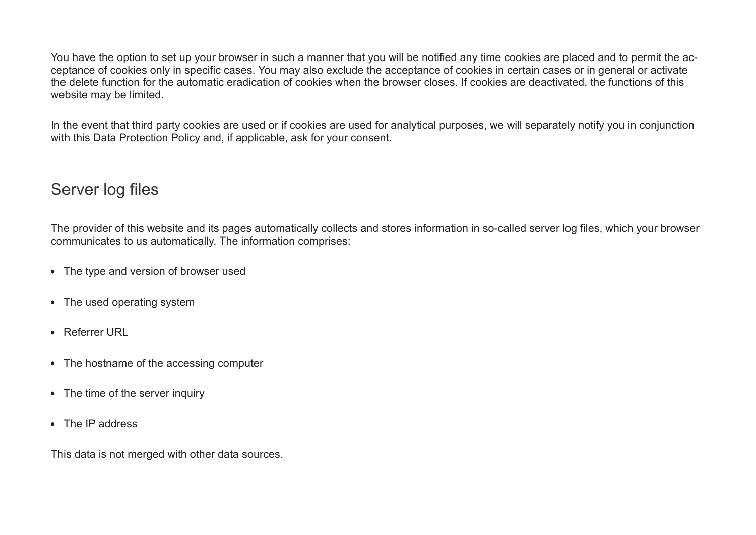You have the option to set up your browser in such a manner that you will be notified any time cookies are placed and to permit the acceptance of cookies only in specific cases. You may also exclude the acceptance of cookies in certain cases or in general or activate the delete function for the automatic eradication of cookies when the browser closes. If cookies are deactivated, the functions of this website may be limited.

In the event that third party cookies are used or if cookies are used for analytical purposes, we will separately notify you in conjunction with this Data Protection Policy and, if applicable, ask for your consent.

# Server log files

The provider of this website and its pages automatically collects and stores information in so-called server log files, which your browser communicates to us automatically. The information comprises:

- The type and version of browser used
- The used operating system
- Referrer URL
- The hostname of the accessing computer
- The time of the server inquiry
- The IP address

This data is not merged with other data sources.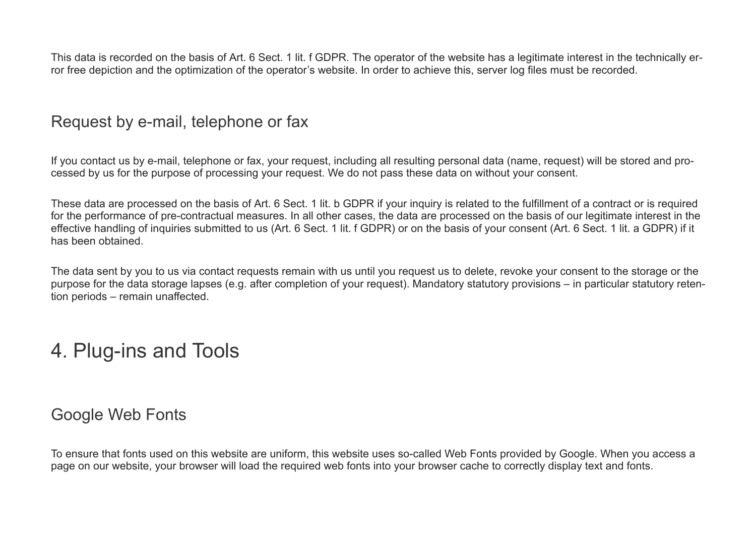This data is recorded on the basis of Art. 6 Sect. 1 lit. f GDPR. The operator of the website has a legitimate interest in the technically error free depiction and the optimization of the operator's website. In order to achieve this, server log files must be recorded.

### Request by e-mail, telephone or fax

If you contact us by e-mail, telephone or fax, your request, including all resulting personal data (name, request) will be stored and processed by us for the purpose of processing your request. We do not pass these data on without your consent.

These data are processed on the basis of Art. 6 Sect. 1 lit. b GDPR if your inquiry is related to the fulfillment of a contract or is required for the performance of pre-contractual measures. In all other cases, the data are processed on the basis of our legitimate interest in the effective handling of inquiries submitted to us (Art. 6 Sect. 1 lit. f GDPR) or on the basis of your consent (Art. 6 Sect. 1 lit. a GDPR) if it has been obtained.

The data sent by you to us via contact requests remain with us until you request us to delete, revoke your consent to the storage or the purpose for the data storage lapses (e.g. after completion of your request). Mandatory statutory provisions – in particular statutory retention periods – remain unaffected.

# 4. Plug-ins and Tools

## Google Web Fonts

To ensure that fonts used on this website are uniform, this website uses so-called Web Fonts provided by Google. When you access a page on our website, your browser will load the required web fonts into your browser cache to correctly display text and fonts.